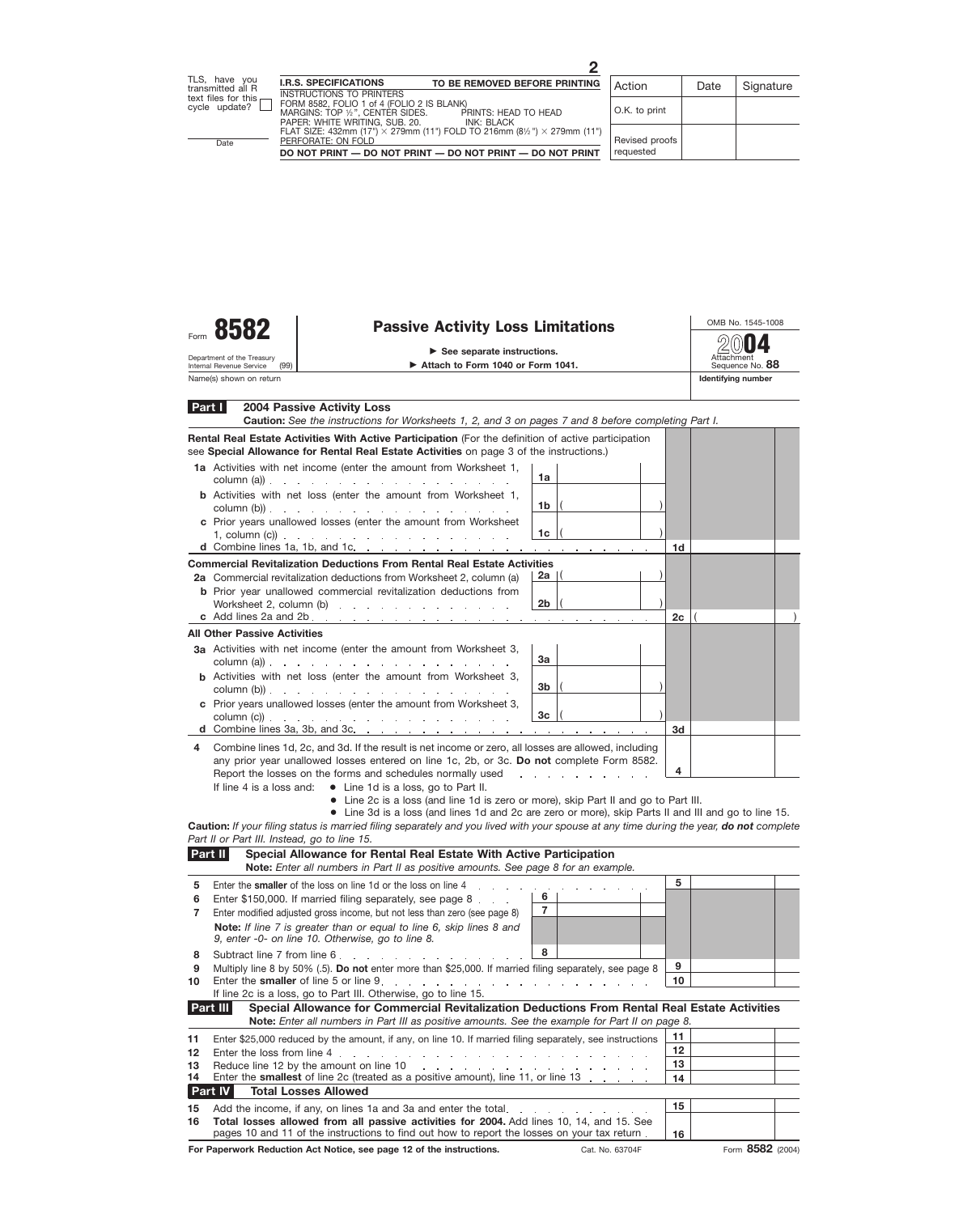| Form | $\mathbf{r}$<br>- 1<br>О<br>Ω |  |
|------|-------------------------------|--|
|      |                               |  |

Department of the Treasury<br>Internal Revenue Service

## **Passive Activity Loss Limitations**<br>
See separate instructions.

Attach to Form 1040 or Form 1041.

Attachment Sequence No. **88 2004**

Name(s) shown on return **Identifying number Identifying number Identifying number** 

(99)

| Part I | <b>2004 Passive Activity Loss</b><br>Caution: See the instructions for Worksheets 1, 2, and 3 on pages 7 and 8 before completing Part I.                                                                                                                                                                                                                                                                                                                                                                                                                |        |                                     |    |  |
|--------|---------------------------------------------------------------------------------------------------------------------------------------------------------------------------------------------------------------------------------------------------------------------------------------------------------------------------------------------------------------------------------------------------------------------------------------------------------------------------------------------------------------------------------------------------------|--------|-------------------------------------|----|--|
|        | Rental Real Estate Activities With Active Participation (For the definition of active participation<br>see Special Allowance for Rental Real Estate Activities on page 3 of the instructions.)                                                                                                                                                                                                                                                                                                                                                          |        |                                     |    |  |
|        | 1a Activities with net income (enter the amount from Worksheet 1,<br>column (a)) $\therefore$ $\therefore$ $\therefore$ $\therefore$ $\therefore$ $\therefore$ $\therefore$ $\therefore$ $\therefore$ $\therefore$ $\therefore$ $\therefore$ $\therefore$ $\therefore$ $\therefore$ $\therefore$ $\therefore$ $\therefore$ $\therefore$ $\therefore$ $\therefore$ $\therefore$ $\therefore$ $\therefore$ $\therefore$ $\therefore$ $\therefore$ $\therefore$ $\therefore$ $\therefore$ $\therefore$ $\therefore$ $\therefore$ $\therefore$ $\therefore$ | 1a     |                                     |    |  |
|        | <b>b</b> Activities with net loss (enter the amount from Worksheet 1,<br>column $(b)$ ).                                                                                                                                                                                                                                                                                                                                                                                                                                                                | 1b     |                                     |    |  |
|        | c Prior years unallowed losses (enter the amount from Worksheet<br>1, column (c)) $\therefore$ $\therefore$ $\therefore$ $\therefore$ $\therefore$ $\therefore$ $\therefore$ $\therefore$ $\therefore$ $\therefore$ $\therefore$                                                                                                                                                                                                                                                                                                                        | 1c     |                                     | 1d |  |
|        | d Combine lines 1a, 1b, and 1c. $\ldots$ $\ldots$ $\ldots$ $\ldots$ $\ldots$ $\ldots$ $\ldots$ $\ldots$                                                                                                                                                                                                                                                                                                                                                                                                                                                 |        |                                     |    |  |
|        | <b>Commercial Revitalization Deductions From Rental Real Estate Activities</b><br>2a Commercial revitalization deductions from Worksheet 2, column (a)                                                                                                                                                                                                                                                                                                                                                                                                  | 2a   ( |                                     |    |  |
|        | <b>b</b> Prior year unallowed commercial revitalization deductions from                                                                                                                                                                                                                                                                                                                                                                                                                                                                                 | 2b     |                                     |    |  |
|        |                                                                                                                                                                                                                                                                                                                                                                                                                                                                                                                                                         |        |                                     | 2c |  |
|        | <b>All Other Passive Activities</b>                                                                                                                                                                                                                                                                                                                                                                                                                                                                                                                     |        |                                     |    |  |
|        | 3a Activities with net income (enter the amount from Worksheet 3,<br>column (a)) $\therefore$ $\therefore$ $\therefore$ $\therefore$ $\therefore$ $\therefore$ $\therefore$ $\therefore$ $\therefore$ $\therefore$ $\therefore$ $\therefore$ $\therefore$ $\therefore$ $\therefore$ $\therefore$ $\therefore$ $\therefore$ $\therefore$ $\therefore$ $\therefore$ $\therefore$ $\therefore$ $\therefore$ $\therefore$ $\therefore$ $\therefore$ $\therefore$ $\therefore$ $\therefore$ $\therefore$ $\therefore$ $\therefore$ $\therefore$ $\therefore$ | За     |                                     |    |  |
|        | <b>b</b> Activities with net loss (enter the amount from Worksheet 3,<br>column $(b)$ ).                                                                                                                                                                                                                                                                                                                                                                                                                                                                | 3b     |                                     |    |  |
|        | c Prior years unallowed losses (enter the amount from Worksheet 3,<br>$\text{column (c))}$                                                                                                                                                                                                                                                                                                                                                                                                                                                              | 3c     |                                     |    |  |
|        | d Combine lines 3a, 3b, and 3c. $\ldots$ , $\ldots$ , $\ldots$ , $\ldots$ , $\ldots$                                                                                                                                                                                                                                                                                                                                                                                                                                                                    |        |                                     | 3d |  |
| 4      | Combine lines 1d, 2c, and 3d. If the result is net income or zero, all losses are allowed, including                                                                                                                                                                                                                                                                                                                                                                                                                                                    |        |                                     |    |  |
|        | any prior year unallowed losses entered on line 1c, 2b, or 3c. Do not complete Form 8582.<br>Report the losses on the forms and schedules normally used                                                                                                                                                                                                                                                                                                                                                                                                 |        | the contract of the contract of the | 4  |  |
|        | If line 4 is a loss and: $\bullet$ Line 1d is a loss, go to Part II.                                                                                                                                                                                                                                                                                                                                                                                                                                                                                    |        |                                     |    |  |
|        | • Line 2c is a loss (and line 1d is zero or more), skip Part II and go to Part III.                                                                                                                                                                                                                                                                                                                                                                                                                                                                     |        |                                     |    |  |
|        | • Line 3d is a loss (and lines 1d and 2c are zero or more), skip Parts II and III and go to line 15.                                                                                                                                                                                                                                                                                                                                                                                                                                                    |        |                                     |    |  |
|        | Caution: If your filing status is married filing separately and you lived with your spouse at any time during the year, do not complete                                                                                                                                                                                                                                                                                                                                                                                                                 |        |                                     |    |  |
|        | Part II or Part III. Instead, go to line 15.<br>Part II                                                                                                                                                                                                                                                                                                                                                                                                                                                                                                 |        |                                     |    |  |
|        | Special Allowance for Rental Real Estate With Active Participation<br>Note: Enter all numbers in Part II as positive amounts. See page 8 for an example.                                                                                                                                                                                                                                                                                                                                                                                                |        |                                     |    |  |
| 5      | Enter the smaller of the loss on line 1d or the loss on line 4                                                                                                                                                                                                                                                                                                                                                                                                                                                                                          |        |                                     | 5  |  |
| 6      | Enter \$150,000. If married filing separately, see page 8                                                                                                                                                                                                                                                                                                                                                                                                                                                                                               |        |                                     |    |  |
| 7      | Enter modified adjusted gross income, but not less than zero (see page 8)                                                                                                                                                                                                                                                                                                                                                                                                                                                                               | 7      |                                     |    |  |
|        | Note: If line 7 is greater than or equal to line 6, skip lines 8 and<br>9, enter -0- on line 10. Otherwise, go to line 8.                                                                                                                                                                                                                                                                                                                                                                                                                               |        |                                     |    |  |
| 8      | Subtract line 7 from line 6.                                                                                                                                                                                                                                                                                                                                                                                                                                                                                                                            | 8      |                                     |    |  |
| 9      | Multiply line 8 by 50% (.5). Do not enter more than \$25,000. If married filing separately, see page 8                                                                                                                                                                                                                                                                                                                                                                                                                                                  |        |                                     | 9  |  |
| 10     | Enter the smaller of line 5 or line 9.<br>and the company of the company of the company of the company of the company of the company of the company of the company of the company of the company of the company of the company of the company of the company of the comp<br>If line 2c is a loss, go to Part III. Otherwise, go to line 15.                                                                                                                                                                                                             |        |                                     | 10 |  |
|        | Part III<br>Special Allowance for Commercial Revitalization Deductions From Rental Real Estate Activities                                                                                                                                                                                                                                                                                                                                                                                                                                               |        |                                     |    |  |
|        | Note: Enter all numbers in Part III as positive amounts. See the example for Part II on page 8.                                                                                                                                                                                                                                                                                                                                                                                                                                                         |        |                                     |    |  |
| 11     | Enter \$25,000 reduced by the amount, if any, on line 10. If married filing separately, see instructions                                                                                                                                                                                                                                                                                                                                                                                                                                                |        |                                     | 11 |  |
| 12     | Enter the loss from line 4.                                                                                                                                                                                                                                                                                                                                                                                                                                                                                                                             |        |                                     | 12 |  |
| 13     | Reduce line 12 by the amount on line 10<br>and the contract of the contract of the contract of the                                                                                                                                                                                                                                                                                                                                                                                                                                                      |        |                                     | 13 |  |
| 14     | Enter the smallest of line 2c (treated as a positive amount), line 11, or line 13                                                                                                                                                                                                                                                                                                                                                                                                                                                                       |        |                                     | 14 |  |
|        | Part IV<br><b>Total Losses Allowed</b>                                                                                                                                                                                                                                                                                                                                                                                                                                                                                                                  |        |                                     |    |  |
|        | 15 Add the income, if any, on lines 1a and 3a and enter the total.                                                                                                                                                                                                                                                                                                                                                                                                                                                                                      |        |                                     | 15 |  |

Add the income, if any, on lines 1a and 3a and enter the total **Total losses allowed from all passive activities for 2004.** Add lines 10, 14, and 15. See pages 10 and 11 of the instructions to find out how to report the losses on your tax return **15 16 16**

For Paperwork Reduction Act Notice, see page 12 of the instructions. Cat. No. 63704F Form 8582 (2004)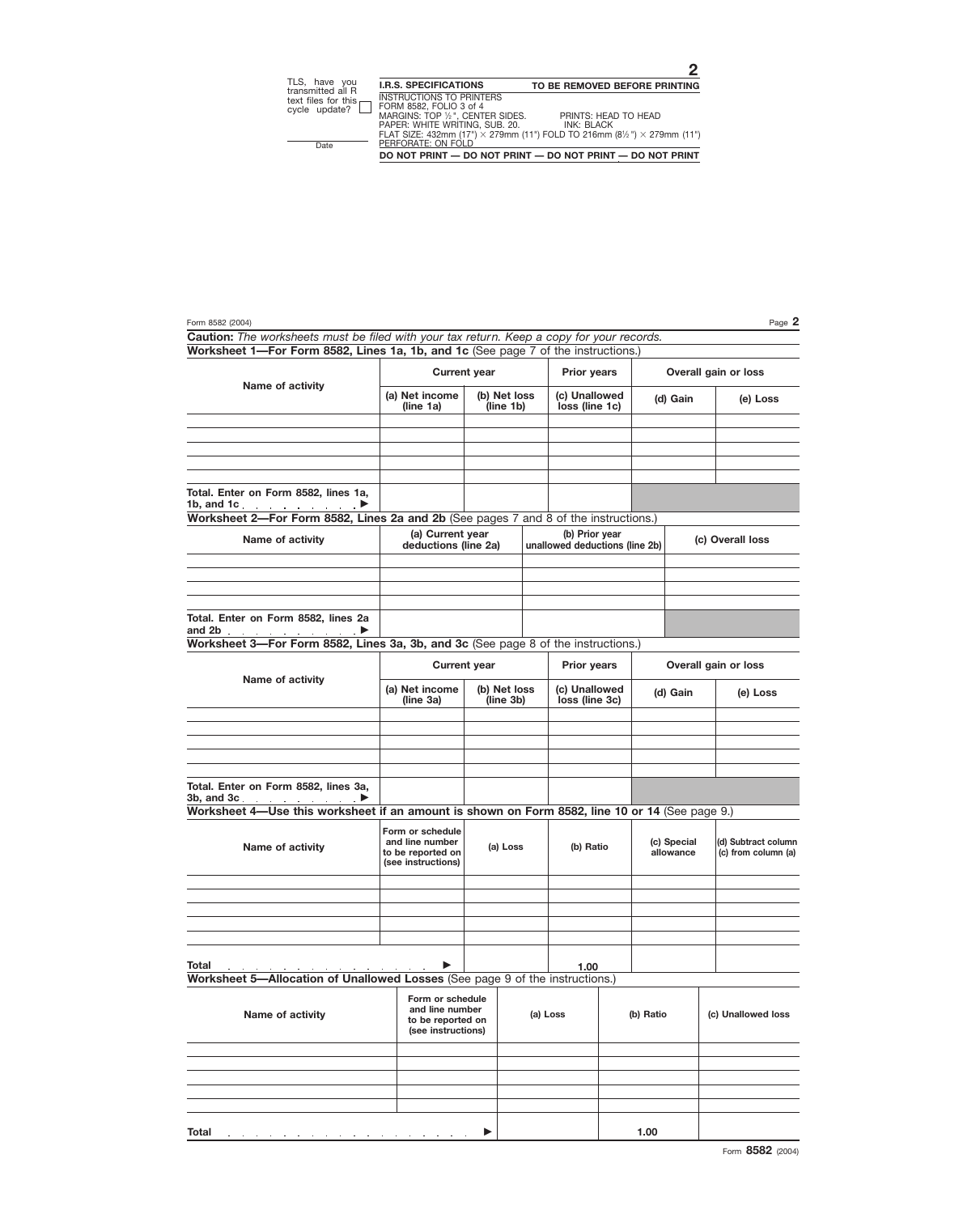|                                                                                                |                                                            | <b>Current year</b><br><b>Prior years</b> |  |                                                  |                             |          | <b>Overall gain or loss</b>                |  |
|------------------------------------------------------------------------------------------------|------------------------------------------------------------|-------------------------------------------|--|--------------------------------------------------|-----------------------------|----------|--------------------------------------------|--|
| Name of activity                                                                               | (a) Net income<br>(line 1a)                                | (b) Net loss<br>(line 1b)                 |  | (c) Unallowed<br>loss (line 1c)                  | (d) Gain                    |          | (e) Loss                                   |  |
|                                                                                                |                                                            |                                           |  |                                                  |                             |          |                                            |  |
|                                                                                                |                                                            |                                           |  |                                                  |                             |          |                                            |  |
|                                                                                                |                                                            |                                           |  |                                                  |                             |          |                                            |  |
|                                                                                                |                                                            |                                           |  |                                                  |                             |          |                                            |  |
| Total. Enter on Form 8582, lines 1a,<br>1b, and 1c. $\qquad \qquad \ldots$                     |                                                            |                                           |  |                                                  |                             |          |                                            |  |
| Worksheet 2-For Form 8582, Lines 2a and 2b (See pages 7 and 8 of the instructions.)            |                                                            |                                           |  |                                                  |                             |          |                                            |  |
| Name of activity                                                                               | (a) Current year<br>deductions (line 2a)                   |                                           |  | (b) Prior year<br>unallowed deductions (line 2b) |                             |          | (c) Overall loss                           |  |
|                                                                                                |                                                            |                                           |  |                                                  |                             |          |                                            |  |
|                                                                                                |                                                            |                                           |  |                                                  |                             |          |                                            |  |
|                                                                                                |                                                            |                                           |  |                                                  |                             |          |                                            |  |
| Total. Enter on Form 8582, lines 2a<br>and 2b $\qquad \qquad \blacksquare$                     |                                                            |                                           |  |                                                  |                             |          |                                            |  |
| Worksheet 3-For Form 8582, Lines 3a, 3b, and 3c (See page 8 of the instructions.)              |                                                            |                                           |  |                                                  |                             |          |                                            |  |
|                                                                                                |                                                            | <b>Current year</b>                       |  | <b>Prior years</b>                               | <b>Overall gain or loss</b> |          |                                            |  |
| Name of activity                                                                               | (a) Net income                                             | (b) Net loss<br>(line 3b)                 |  | (c) Unallowed                                    |                             |          |                                            |  |
|                                                                                                | (line 3a)                                                  |                                           |  | loss (line 3c)                                   |                             | (d) Gain | (e) Loss                                   |  |
|                                                                                                |                                                            |                                           |  |                                                  |                             |          |                                            |  |
|                                                                                                |                                                            |                                           |  |                                                  |                             |          |                                            |  |
|                                                                                                |                                                            |                                           |  |                                                  |                             |          |                                            |  |
|                                                                                                |                                                            |                                           |  |                                                  |                             |          |                                            |  |
| Total. Enter on Form 8582, lines 3a,<br>3b, and 3c.                                            |                                                            |                                           |  |                                                  |                             |          |                                            |  |
| Worksheet 4-Use this worksheet if an amount is shown on Form 8582, line 10 or 14 (See page 9.) |                                                            |                                           |  |                                                  |                             |          |                                            |  |
|                                                                                                | Form or schedule                                           |                                           |  |                                                  |                             |          |                                            |  |
| Name of activity                                                                               | and line number<br>to be reported on                       | (a) Loss                                  |  | (b) Ratio                                        | (c) Special<br>allowance    |          | (d) Subtract column<br>(c) from column (a) |  |
|                                                                                                | (see instructions)                                         |                                           |  |                                                  |                             |          |                                            |  |
|                                                                                                |                                                            |                                           |  |                                                  |                             |          |                                            |  |
|                                                                                                |                                                            |                                           |  |                                                  |                             |          |                                            |  |
|                                                                                                |                                                            |                                           |  |                                                  |                             |          |                                            |  |
|                                                                                                |                                                            |                                           |  |                                                  |                             |          |                                            |  |
| Total                                                                                          |                                                            |                                           |  | 1.00                                             |                             |          |                                            |  |
| Worksheet 5-Allocation of Unallowed Losses (See page 9 of the instructions.)                   |                                                            |                                           |  |                                                  |                             |          |                                            |  |
|                                                                                                | Form or schedule                                           |                                           |  |                                                  |                             |          |                                            |  |
| Name of activity                                                                               | and line number<br>to be reported on<br>(see instructions) |                                           |  | (a) Loss                                         | (b) Ratio                   |          | (c) Unallowed loss                         |  |
|                                                                                                |                                                            |                                           |  |                                                  |                             |          |                                            |  |
|                                                                                                |                                                            |                                           |  |                                                  |                             |          |                                            |  |
|                                                                                                |                                                            |                                           |  |                                                  |                             |          |                                            |  |
|                                                                                                |                                                            |                                           |  |                                                  |                             |          |                                            |  |